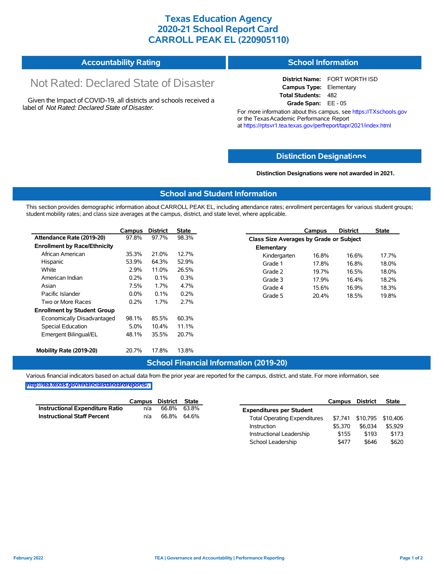## **Texas Education Agency 2020-21 School Report Card CARROLL PEAK EL (220905110)**

| <b>Accountability Rating</b> | <b>School Information</b> |
|------------------------------|---------------------------|
|------------------------------|---------------------------|

# Not Rated: Declared State of Disaster

Given the Impact of COVID-19, all districts and schools received a label of *Not Rated: Declared State of Disaster.*

**District Name:** FORT WORTH ISD **Campus Type:** Elementary **Total Students:** 482 **Grade Span:** EE - 05

For more information about this campus, see https://TXschools.gov or the Texas Academic Performance Report at https://rptsvr1.tea.texas.gov/perfreport/tapr/2021/index.html

### **Distinction Designat[ions](https://TXschools.gov)**

**Distinction Designations were not awarded in 2021.**

School Leadership  $$477$  \$646 \$620

#### **School and Student Information**

This section provides demographic information about CARROLL PEAK EL, including attendance rates; enrollment percentages for various student groups; student mobility rates; and class size averages at the campus, district, and state level, where applicable.

|                                     | Campus  | <b>District</b> | <b>State</b> | <b>District</b><br>Campus               | <b>State</b>   |  |
|-------------------------------------|---------|-----------------|--------------|-----------------------------------------|----------------|--|
| Attendance Rate (2019-20)           | 97.8%   | 97.7%           | 98.3%        | Class Size Averages by Grade or Subject |                |  |
| <b>Enrollment by Race/Ethnicity</b> |         |                 |              | Elementary                              |                |  |
| African American                    | 35.3%   | 21.0%           | 12.7%        | Kindergarten<br>16.8%                   | 16.6%<br>17.7% |  |
| Hispanic                            | 53.9%   | 64.3%           | 52.9%        | Grade 1<br>17.8%                        | 16.8%<br>18.0% |  |
| White                               | 2.9%    | 11.0%           | 26.5%        | Grade 2<br>19.7%                        | 16.5%<br>18.0% |  |
| American Indian                     | 0.2%    | 0.1%            | 0.3%         | Grade 3<br>17.9%                        | 16.4%<br>18.2% |  |
| Asian                               | 7.5%    | 1.7%            | 4.7%         | Grade 4<br>15.6%                        | 18.3%<br>16.9% |  |
| Pacific Islander                    | $0.0\%$ | 0.1%            | 0.2%         | Grade 5<br>20.4%                        | 18.5%<br>19.8% |  |
| Two or More Races                   | 0.2%    | 1.7%            | 2.7%         |                                         |                |  |
| <b>Enrollment by Student Group</b>  |         |                 |              |                                         |                |  |
| Economically Disadvantaged          | 98.1%   | 85.5%           | 60.3%        |                                         |                |  |
| Special Education                   | 5.0%    | 10.4%           | 11.1%        |                                         |                |  |
| Emergent Bilingual/EL               | 48.1%   | 35.5%           | 20.7%        |                                         |                |  |
|                                     |         |                 |              |                                         |                |  |
| Mobility Rate (2019-20)             | 20.7%   | 17.8%           | 13.8%        |                                         |                |  |

#### **School Financial Information (2019-20)**

Various financial indicators based on actual data from the prior year are reported for the campus, district, and state. For more information, see

**[http://tea.texas.gov/financialstandardreports/.](http://tea.texas.gov/financialstandardreports/)**

|                                        | Campus | District | State       |                                     | Campus  | <b>District</b>           | <b>State</b> |
|----------------------------------------|--------|----------|-------------|-------------------------------------|---------|---------------------------|--------------|
| <b>Instructional Expenditure Ratio</b> | n/a    | 66.8%    | 63.8%       | <b>Expenditures per Student</b>     |         |                           |              |
| <b>Instructional Staff Percent</b>     | n/a    |          | 66.8% 64.6% | <b>Total Operating Expenditures</b> |         | \$7,741 \$10,795 \$10,406 |              |
|                                        |        |          |             | Instruction                         | \$5.370 | \$6.034                   | \$5.929      |
|                                        |        |          |             | Instructional Leadership            | \$155   | \$193                     | \$173        |